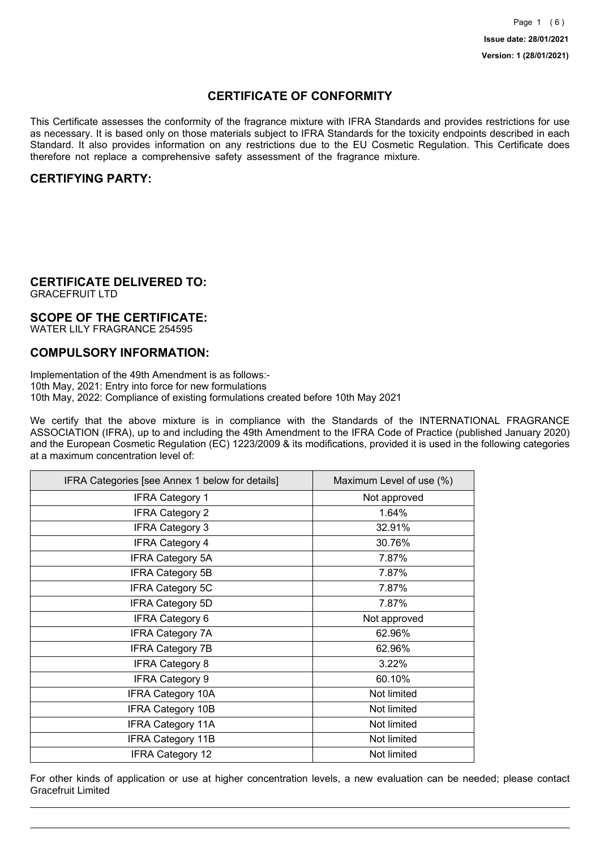## **CERTIFICATE OF CONFORMITY**

This Certificate assesses the conformity of the fragrance mixture with IFRA Standards and provides restrictions for use as necessary. It is based only on those materials subject to IFRA Standards for the toxicity endpoints described in each Standard. It also provides information on any restrictions due to the EU Cosmetic Regulation. This Certificate does therefore not replace a comprehensive safety assessment of the fragrance mixture.

### **CERTIFYING PARTY:**

## **CERTIFICATE DELIVERED TO:**

GRACEFRUIT LTD

### **SCOPE OF THE CERTIFICATE:**

WATER LILY FRAGRANCE 254595

## **COMPULSORY INFORMATION:**

Implementation of the 49th Amendment is as follows:- 10th May, 2021: Entry into force for new formulations 10th May, 2022: Compliance of existing formulations created before 10th May 2021

We certify that the above mixture is in compliance with the Standards of the INTERNATIONAL FRAGRANCE ASSOCIATION (IFRA), up to and including the 49th Amendment to the IFRA Code of Practice (published January 2020) and the European Cosmetic Regulation (EC) 1223/2009 & its modifications, provided it is used in the following categories at a maximum concentration level of:

| IFRA Categories [see Annex 1 below for details] | Maximum Level of use (%) |
|-------------------------------------------------|--------------------------|
| <b>IFRA Category 1</b>                          | Not approved             |
| <b>IFRA Category 2</b>                          | 1.64%                    |
| <b>IFRA Category 3</b>                          | 32.91%                   |
| <b>IFRA Category 4</b>                          | 30.76%                   |
| <b>IFRA Category 5A</b>                         | 7.87%                    |
| <b>IFRA Category 5B</b>                         | 7.87%                    |
| <b>IFRA Category 5C</b>                         | 7.87%                    |
| <b>IFRA Category 5D</b>                         | 7.87%                    |
| <b>IFRA Category 6</b>                          | Not approved             |
| <b>IFRA Category 7A</b>                         | 62.96%                   |
| <b>IFRA Category 7B</b>                         | 62.96%                   |
| <b>IFRA Category 8</b>                          | 3.22%                    |
| <b>IFRA Category 9</b>                          | 60.10%                   |
| <b>IFRA Category 10A</b>                        | Not limited              |
| <b>IFRA Category 10B</b>                        | Not limited              |
| <b>IFRA Category 11A</b>                        | Not limited              |
| <b>IFRA Category 11B</b>                        | Not limited              |
| <b>IFRA Category 12</b>                         | Not limited              |

For other kinds of application or use at higher concentration levels, a new evaluation can be needed; please contact Gracefruit Limited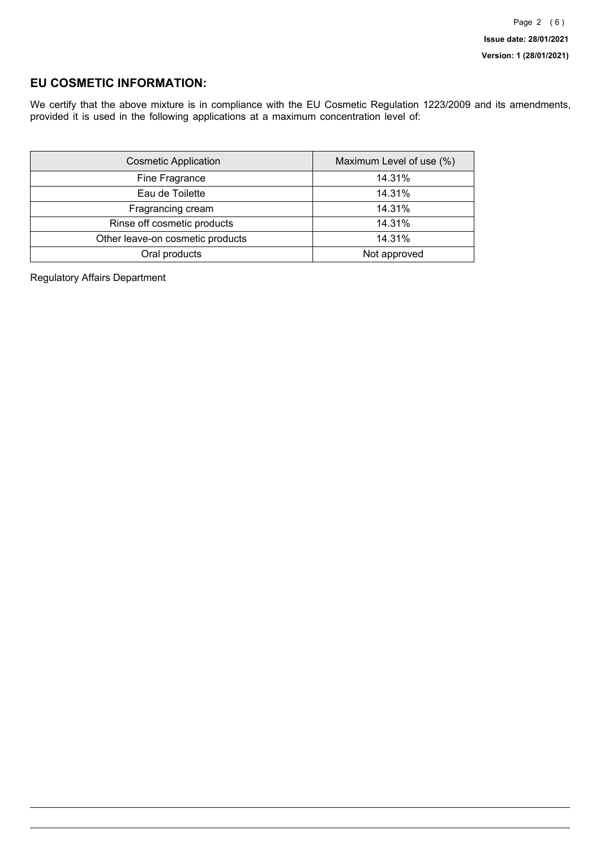## **EU COSMETIC INFORMATION:**

We certify that the above mixture is in compliance with the EU Cosmetic Regulation 1223/2009 and its amendments, provided it is used in the following applications at a maximum concentration level of:

| <b>Cosmetic Application</b>      | Maximum Level of use (%) |
|----------------------------------|--------------------------|
| Fine Fragrance                   | 14.31%                   |
| Eau de Toilette                  | 14.31%                   |
| Fragrancing cream                | 14.31%                   |
| Rinse off cosmetic products      | 14.31%                   |
| Other leave-on cosmetic products | 14.31%                   |
| Oral products                    | Not approved             |

Regulatory Affairs Department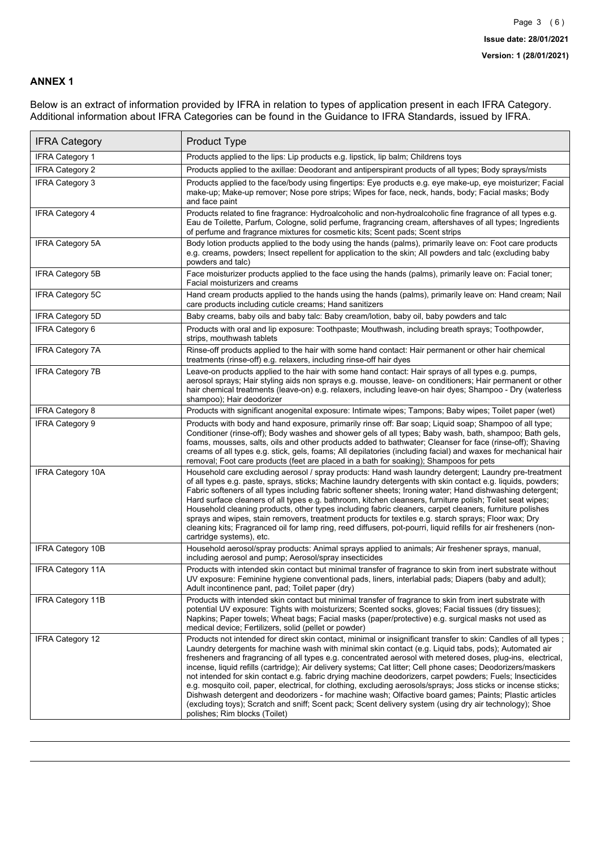### **ANNEX 1**

Below is an extract of information provided by IFRA in relation to types of application present in each IFRA Category. Additional information about IFRA Categories can be found in the Guidance to IFRA Standards, issued by IFRA.

| <b>IFRA Category</b>     | Product Type                                                                                                                                                                                                                                                                                                                                                                                                                                                                                                                                                                                                                                                                                                                                                                                                                                                                                                                                 |
|--------------------------|----------------------------------------------------------------------------------------------------------------------------------------------------------------------------------------------------------------------------------------------------------------------------------------------------------------------------------------------------------------------------------------------------------------------------------------------------------------------------------------------------------------------------------------------------------------------------------------------------------------------------------------------------------------------------------------------------------------------------------------------------------------------------------------------------------------------------------------------------------------------------------------------------------------------------------------------|
| IFRA Category 1          | Products applied to the lips: Lip products e.g. lipstick, lip balm; Childrens toys                                                                                                                                                                                                                                                                                                                                                                                                                                                                                                                                                                                                                                                                                                                                                                                                                                                           |
| <b>IFRA Category 2</b>   | Products applied to the axillae: Deodorant and antiperspirant products of all types; Body sprays/mists                                                                                                                                                                                                                                                                                                                                                                                                                                                                                                                                                                                                                                                                                                                                                                                                                                       |
| <b>IFRA Category 3</b>   | Products applied to the face/body using fingertips: Eye products e.g. eye make-up, eye moisturizer; Facial<br>make-up; Make-up remover; Nose pore strips; Wipes for face, neck, hands, body; Facial masks; Body<br>and face paint                                                                                                                                                                                                                                                                                                                                                                                                                                                                                                                                                                                                                                                                                                            |
| <b>IFRA Category 4</b>   | Products related to fine fragrance: Hydroalcoholic and non-hydroalcoholic fine fragrance of all types e.g.<br>Eau de Toilette, Parfum, Cologne, solid perfume, fragrancing cream, aftershaves of all types; Ingredients<br>of perfume and fragrance mixtures for cosmetic kits; Scent pads; Scent strips                                                                                                                                                                                                                                                                                                                                                                                                                                                                                                                                                                                                                                     |
| <b>IFRA Category 5A</b>  | Body lotion products applied to the body using the hands (palms), primarily leave on: Foot care products<br>e.g. creams, powders; Insect repellent for application to the skin; All powders and talc (excluding baby<br>powders and talc)                                                                                                                                                                                                                                                                                                                                                                                                                                                                                                                                                                                                                                                                                                    |
| IFRA Category 5B         | Face moisturizer products applied to the face using the hands (palms), primarily leave on: Facial toner;<br>Facial moisturizers and creams                                                                                                                                                                                                                                                                                                                                                                                                                                                                                                                                                                                                                                                                                                                                                                                                   |
| <b>IFRA Category 5C</b>  | Hand cream products applied to the hands using the hands (palms), primarily leave on: Hand cream; Nail<br>care products including cuticle creams; Hand sanitizers                                                                                                                                                                                                                                                                                                                                                                                                                                                                                                                                                                                                                                                                                                                                                                            |
| <b>IFRA Category 5D</b>  | Baby creams, baby oils and baby talc: Baby cream/lotion, baby oil, baby powders and talc                                                                                                                                                                                                                                                                                                                                                                                                                                                                                                                                                                                                                                                                                                                                                                                                                                                     |
| IFRA Category 6          | Products with oral and lip exposure: Toothpaste; Mouthwash, including breath sprays; Toothpowder,<br>strips, mouthwash tablets                                                                                                                                                                                                                                                                                                                                                                                                                                                                                                                                                                                                                                                                                                                                                                                                               |
| <b>IFRA Category 7A</b>  | Rinse-off products applied to the hair with some hand contact: Hair permanent or other hair chemical<br>treatments (rinse-off) e.g. relaxers, including rinse-off hair dyes                                                                                                                                                                                                                                                                                                                                                                                                                                                                                                                                                                                                                                                                                                                                                                  |
| <b>IFRA Category 7B</b>  | Leave-on products applied to the hair with some hand contact: Hair sprays of all types e.g. pumps,<br>aerosol sprays; Hair styling aids non sprays e.g. mousse, leave- on conditioners; Hair permanent or other<br>hair chemical treatments (leave-on) e.g. relaxers, including leave-on hair dyes; Shampoo - Dry (waterless<br>shampoo); Hair deodorizer                                                                                                                                                                                                                                                                                                                                                                                                                                                                                                                                                                                    |
| <b>IFRA Category 8</b>   | Products with significant anogenital exposure: Intimate wipes; Tampons; Baby wipes; Toilet paper (wet)                                                                                                                                                                                                                                                                                                                                                                                                                                                                                                                                                                                                                                                                                                                                                                                                                                       |
| IFRA Category 9          | Products with body and hand exposure, primarily rinse off: Bar soap; Liquid soap; Shampoo of all type;<br>Conditioner (rinse-off); Body washes and shower gels of all types; Baby wash, bath, shampoo; Bath gels,<br>foams, mousses, salts, oils and other products added to bathwater; Cleanser for face (rinse-off); Shaving<br>creams of all types e.g. stick, gels, foams; All depilatories (including facial) and waxes for mechanical hair<br>removal; Foot care products (feet are placed in a bath for soaking); Shampoos for pets                                                                                                                                                                                                                                                                                                                                                                                                   |
| <b>IFRA Category 10A</b> | Household care excluding aerosol / spray products: Hand wash laundry detergent; Laundry pre-treatment<br>of all types e.g. paste, sprays, sticks; Machine laundry detergents with skin contact e.g. liquids, powders;<br>Fabric softeners of all types including fabric softener sheets; Ironing water; Hand dishwashing detergent;<br>Hard surface cleaners of all types e.g. bathroom, kitchen cleansers, furniture polish; Toilet seat wipes;<br>Household cleaning products, other types including fabric cleaners, carpet cleaners, furniture polishes<br>sprays and wipes, stain removers, treatment products for textiles e.g. starch sprays; Floor wax; Dry<br>cleaning kits; Fragranced oil for lamp ring, reed diffusers, pot-pourri, liquid refills for air fresheners (non-<br>cartridge systems), etc.                                                                                                                          |
| <b>IFRA Category 10B</b> | Household aerosol/spray products: Animal sprays applied to animals; Air freshener sprays, manual,<br>including aerosol and pump; Aerosol/spray insecticides                                                                                                                                                                                                                                                                                                                                                                                                                                                                                                                                                                                                                                                                                                                                                                                  |
| <b>IFRA Category 11A</b> | Products with intended skin contact but minimal transfer of fragrance to skin from inert substrate without<br>UV exposure: Feminine hygiene conventional pads, liners, interlabial pads; Diapers (baby and adult);<br>Adult incontinence pant, pad; Toilet paper (dry)                                                                                                                                                                                                                                                                                                                                                                                                                                                                                                                                                                                                                                                                       |
| <b>IFRA Category 11B</b> | Products with intended skin contact but minimal transfer of fragrance to skin from inert substrate with<br>potential UV exposure: Tights with moisturizers; Scented socks, gloves; Facial tissues (dry tissues);<br>Napkins; Paper towels; Wheat bags; Facial masks (paper/protective) e.g. surgical masks not used as<br>medical device; Fertilizers, solid (pellet or powder)                                                                                                                                                                                                                                                                                                                                                                                                                                                                                                                                                              |
| <b>IFRA Category 12</b>  | Products not intended for direct skin contact, minimal or insignificant transfer to skin: Candles of all types;<br>Laundry detergents for machine wash with minimal skin contact (e.g. Liquid tabs, pods); Automated air<br>fresheners and fragrancing of all types e.g. concentrated aerosol with metered doses, plug-ins, electrical,<br>incense, liquid refills (cartridge); Air delivery systems; Cat litter; Cell phone cases; Deodorizers/maskers<br>not intended for skin contact e.g. fabric drying machine deodorizers, carpet powders; Fuels; Insecticides<br>e.g. mosquito coil, paper, electrical, for clothing, excluding aerosols/sprays; Joss sticks or incense sticks;<br>Dishwash detergent and deodorizers - for machine wash; Olfactive board games; Paints; Plastic articles<br>(excluding toys); Scratch and sniff; Scent pack; Scent delivery system (using dry air technology); Shoe<br>polishes; Rim blocks (Toilet) |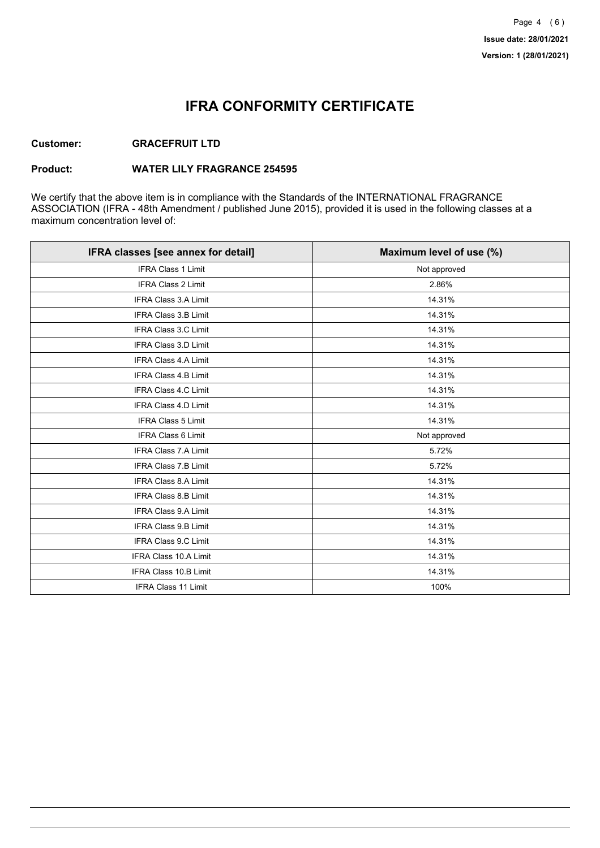## **IFRA CONFORMITY CERTIFICATE**

### **Customer: GRACEFRUIT LTD**

#### **Product: WATER LILY FRAGRANCE 254595**

We certify that the above item is in compliance with the Standards of the INTERNATIONAL FRAGRANCE ASSOCIATION (IFRA - 48th Amendment / published June 2015), provided it is used in the following classes at a maximum concentration level of:

| IFRA classes [see annex for detail] | Maximum level of use (%) |
|-------------------------------------|--------------------------|
| <b>IFRA Class 1 Limit</b>           | Not approved             |
| IFRA Class 2 Limit                  | 2.86%                    |
| <b>IFRA Class 3.A Limit</b>         | 14.31%                   |
| <b>IFRA Class 3.B Limit</b>         | 14.31%                   |
| IFRA Class 3.C Limit                | 14.31%                   |
| IFRA Class 3.D Limit                | 14.31%                   |
| <b>IFRA Class 4.A Limit</b>         | 14.31%                   |
| <b>IFRA Class 4.B Limit</b>         | 14.31%                   |
| <b>IFRA Class 4.C Limit</b>         | 14.31%                   |
| IFRA Class 4.D Limit                | 14.31%                   |
| <b>IFRA Class 5 Limit</b>           | 14.31%                   |
| <b>IFRA Class 6 Limit</b>           | Not approved             |
| <b>IFRA Class 7.A Limit</b>         | 5.72%                    |
| <b>IFRA Class 7.B Limit</b>         | 5.72%                    |
| IFRA Class 8.A Limit                | 14.31%                   |
| IFRA Class 8.B Limit                | 14.31%                   |
| <b>IFRA Class 9.A Limit</b>         | 14.31%                   |
| <b>IFRA Class 9.B Limit</b>         | 14.31%                   |
| IFRA Class 9.C Limit                | 14.31%                   |
| IFRA Class 10.A Limit               | 14.31%                   |
| <b>IFRA Class 10.B Limit</b>        | 14.31%                   |
| <b>IFRA Class 11 Limit</b>          | 100%                     |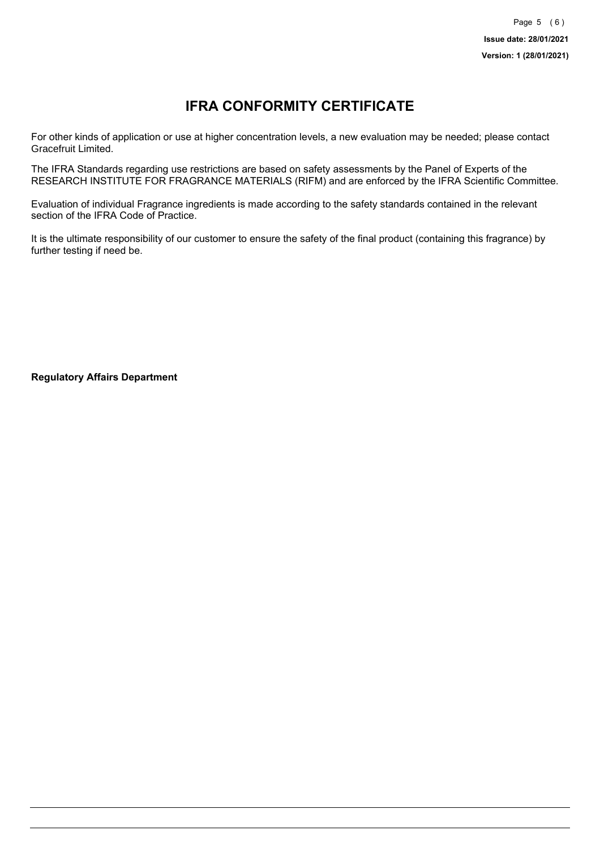# **IFRA CONFORMITY CERTIFICATE**

For other kinds of application or use at higher concentration levels, a new evaluation may be needed; please contact Gracefruit Limited.

The IFRA Standards regarding use restrictions are based on safety assessments by the Panel of Experts of the RESEARCH INSTITUTE FOR FRAGRANCE MATERIALS (RIFM) and are enforced by the IFRA Scientific Committee.

Evaluation of individual Fragrance ingredients is made according to the safety standards contained in the relevant section of the IFRA Code of Practice.

It is the ultimate responsibility of our customer to ensure the safety of the final product (containing this fragrance) by further testing if need be.

**Regulatory Affairs Department**